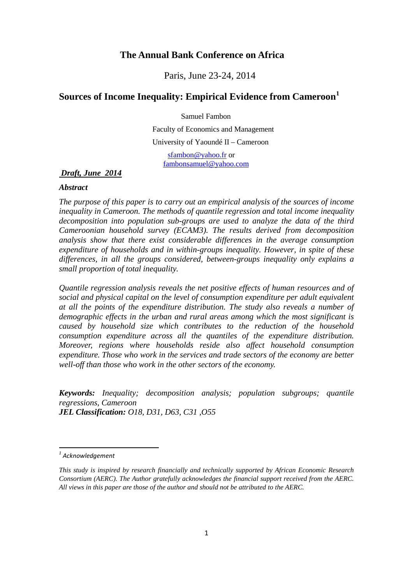# **The Annual Bank Conference on Africa**

Paris, June 23-24, 2014

# **Sources of Income Inequality: Empirical Evidence from Cameroon[1](#page-0-0)**

Samuel Fambon

 Faculty of Economics and Management University of Yaoundé II – Cameroon

 [sfambon@yahoo.fr](mailto:sfambon@yahoo.fr) or [fambonsamuel@yahoo.com](mailto:fambonsamuel@yahoo.com)

*Draft, June 2014*

### *Abstract*

*The purpose of this paper is to carry out an empirical analysis of the sources of income inequality in Cameroon. The methods of quantile regression and total income inequality decomposition into population sub-groups are used to analyze the data of the third Cameroonian household survey (ECAM3). The results derived from decomposition analysis show that there exist considerable differences in the average consumption expenditure of households and in within-groups inequality. However, in spite of these differences, in all the groups considered, between-groups inequality only explains a small proportion of total inequality.* 

*Quantile regression analysis reveals the net positive effects of human resources and of social and physical capital on the level of consumption expenditure per adult equivalent at all the points of the expenditure distribution. The study also reveals a number of demographic effects in the urban and rural areas among which the most significant is caused by household size which contributes to the reduction of the household consumption expenditure across all the quantiles of the expenditure distribution. Moreover, regions where households reside also affect household consumption expenditure. Those who work in the services and trade sectors of the economy are better well-off than those who work in the other sectors of the economy.* 

*Keywords: Inequality; decomposition analysis; population subgroups; quantile regressions, Cameroon JEL Classification: O18, D31, D63, C31 ,O55*

<span id="page-0-0"></span>*<sup>1</sup> Acknowledgement*

*This study is inspired by research financially and technically supported by African Economic Research Consortium (AERC). The Author gratefully acknowledges the financial support received from the AERC. All views in this paper are those of the author and should not be attributed to the AERC.*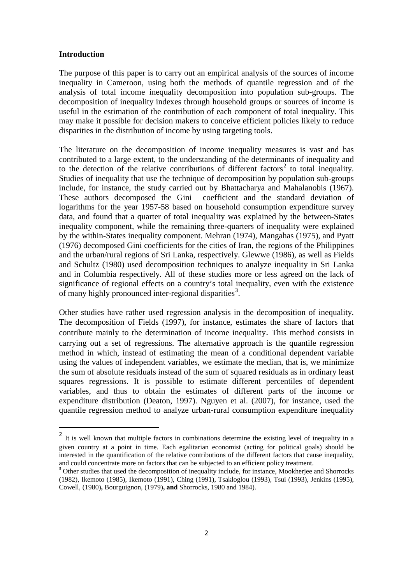#### **Introduction**

The purpose of this paper is to carry out an empirical analysis of the sources of income inequality in Cameroon, using both the methods of quantile regression and of the analysis of total income inequality decomposition into population sub-groups. The decomposition of inequality indexes through household groups or sources of income is useful in the estimation of the contribution of each component of total inequality. This may make it possible for decision makers to conceive efficient policies likely to reduce disparities in the distribution of income by using targeting tools.

The literature on the decomposition of income inequality measures is vast and has contributed to a large extent, to the understanding of the determinants of inequality and to the detection of the relative contributions of different factors<sup>[2](#page-1-0)</sup> to total inequality. Studies of inequality that use the technique of decomposition by population sub-groups include, for instance, the study carried out by Bhattacharya and Mahalanobis (1967). These authors decomposed the Gini coefficient and the standard deviation of logarithms for the year 1957-58 based on household consumption expenditure survey data, and found that a quarter of total inequality was explained by the between-States inequality component, while the remaining three-quarters of inequality were explained by the within-States inequality component. Mehran (1974), Mangahas (1975), and Pyatt (1976) decomposed Gini coefficients for the cities of Iran, the regions of the Philippines and the urban/rural regions of Sri Lanka, respectively. Glewwe (1986), as well as Fields and Schultz (1980) used decomposition techniques to analyze inequality in Sri Lanka and in Columbia respectively. All of these studies more or less agreed on the lack of significance of regional effects on a country's total inequality, even with the existence of many highly pronounced inter-regional disparities<sup>[3](#page-1-1)</sup>.

Other studies have rather used regression analysis in the decomposition of inequality. The decomposition of Fields (1997), for instance, estimates the share of factors that contribute mainly to the determination of income inequality. This method consists in carrying out a set of regressions. The alternative approach is the quantile regression method in which, instead of estimating the mean of a conditional dependent variable using the values of independent variables, we estimate the median, that is, we minimize the sum of absolute residuals instead of the sum of squared residuals as in ordinary least squares regressions. It is possible to estimate different percentiles of dependent variables, and thus to obtain the estimates of different parts of the income or expenditure distribution (Deaton, 1997). Nguyen et al. (2007), for instance, used the quantile regression method to analyze urban-rural consumption expenditure inequality

<span id="page-1-0"></span><sup>&</sup>lt;sup>2</sup> It is well known that multiple factors in combinations determine the existing level of inequality in a given country at a point in time. Each egalitarian economist (acting for political goals) should be interested in the quantification of the relative contributions of the different factors that cause inequality, and could concentrate more on factors that can be subjected to an efficient policy treatment.

<span id="page-1-1"></span><sup>&</sup>lt;sup>3</sup> Other studies that used the decomposition of inequality include, for instance, Mookherjee and Shorrocks (1982), Ikemoto (1985), Ikemoto (1991), Ching (1991), Tsakloglou (1993), Tsui (1993), Jenkins (1995), Cowell, (1980)**,** Bourguignon, (1979)**, and** Shorrocks, 1980 and 1984).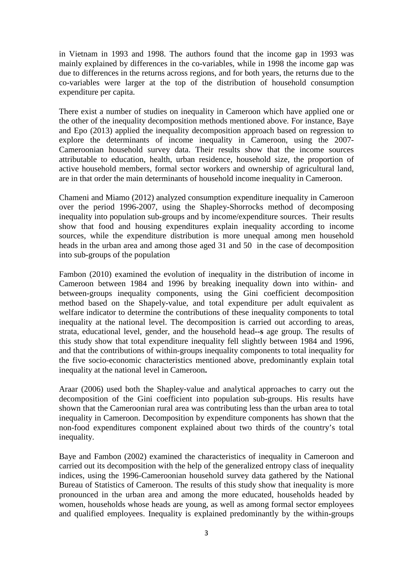in Vietnam in 1993 and 1998. The authors found that the income gap in 1993 was mainly explained by differences in the co-variables, while in 1998 the income gap was due to differences in the returns across regions, and for both years, the returns due to the co-variables were larger at the top of the distribution of household consumption expenditure per capita.

There exist a number of studies on inequality in Cameroon which have applied one or the other of the inequality decomposition methods mentioned above. For instance, Baye and Epo (2013) applied the inequality decomposition approach based on regression to explore the determinants of income inequality in Cameroon, using the 2007- Cameroonian household survey data. Their results show that the income sources attributable to education, health, urban residence, household size, the proportion of active household members, formal sector workers and ownership of agricultural land, are in that order the main determinants of household income inequality in Cameroon.

Chameni and Miamo (2012) analyzed consumption expenditure inequality in Cameroon over the period 1996-2007, using the Shapley-Shorrocks method of decomposing inequality into population sub-groups and by income/expenditure sources. Their results show that food and housing expenditures explain inequality according to income sources, while the expenditure distribution is more unequal among men household heads in the urban area and among those aged 31 and 50 in the case of decomposition into sub-groups of the population

Fambon (2010) examined the evolution of inequality in the distribution of income in Cameroon between 1984 and 1996 by breaking inequality down into within- and between-groups inequality components, using the Gini coefficient decomposition method based on the Shapely-value, and total expenditure per adult equivalent as welfare indicator to determine the contributions of these inequality components to total inequality at the national level. The decomposition is carried out according to areas, strata, educational level, gender, and the household head**--s** age group. The results of this study show that total expenditure inequality fell slightly between 1984 and 1996, and that the contributions of within-groups inequality components to total inequality for the five socio-economic characteristics mentioned above, predominantly explain total inequality at the national level in Cameroon**.**

Araar (2006) used both the Shapley-value and analytical approaches to carry out the decomposition of the Gini coefficient into population sub-groups. His results have shown that the Cameroonian rural area was contributing less than the urban area to total inequality in Cameroon. Decomposition by expenditure components has shown that the non-food expenditures component explained about two thirds of the country's total inequality.

Baye and Fambon (2002) examined the characteristics of inequality in Cameroon and carried out its decomposition with the help of the generalized entropy class of inequality indices, using the 1996-Cameroonian household survey data gathered by the National Bureau of Statistics of Cameroon. The results of this study show that inequality is more pronounced in the urban area and among the more educated, households headed by women, households whose heads are young, as well as among formal sector employees and qualified employees. Inequality is explained predominantly by the within-groups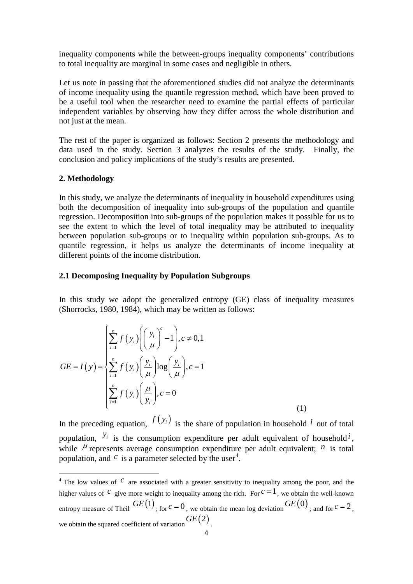inequality components while the between-groups inequality component**s**' contributions to total inequality are marginal in some cases and negligible in others.

Let us note in passing that the aforementioned studies did not analyze the determinants of income inequality using the quantile regression method, which have been proved to be a useful tool when the researcher need to examine the partial effects of particular independent variables by observing how they differ across the whole distribution and not just at the mean.

The rest of the paper is organized as follows: Section 2 presents the methodology and data used in the study. Section 3 analyzes the results of the study. Finally, the conclusion and policy implications of the study's results are presented.

### **2. Methodology**

**.** 

In this study, we analyze the determinants of inequality in household expenditures using both the decomposition of inequality into sub-groups of the population and quantile regression. Decomposition into sub-groups of the population makes it possible for us to see the extent to which the level of total inequality may be attributed to inequality between population sub-groups or to inequality within population sub-groups. As to quantile regression, it helps us analyze the determinants of income inequality at different points of the income distribution.

## **2.1 Decomposing Inequality by Population Subgroups**

In this study we adopt the generalized entropy (GE) class of inequality measures (Shorrocks, 1980, 1984), which may be written as follows:

$$
GE = I(y) = \begin{cases} \sum_{i=1}^{n} f(y_i) \left( \left( \frac{y_i}{\mu} \right)^c - 1 \right), c \neq 0, 1\\ \sum_{i=1}^{n} f(y_i) \left( \frac{y_i}{\mu} \right) \log \left( \frac{y_i}{\mu} \right), c = 1\\ \sum_{i=1}^{n} f(y_i) \left( \frac{\mu}{y_i} \right), c = 0 \end{cases}
$$
(1)

In the preceding equation,  $f(y_i)$  is the share of population in household *i* out of total population,  $y_i$  is the consumption expenditure per adult equivalent of household  $i$ , while  $\mu$  represents average consumption expenditure per adult equivalent; *n* is total population, and  $c$  is a parameter selected by the user<sup>[4](#page-3-0)</sup>.

<span id="page-3-0"></span> $4$  The low values of  $C$  are associated with a greater sensitivity to inequality among the poor, and the higher values of <sup>*c*</sup> give more weight to inequality among the rich. For  $c = 1$ , we obtain the well-known entropy measure of Theil  $GE(1)$ ; for  $c = 0$ , we obtain the mean log deviation  $GE(0)$ ; and for  $c = 2$ , we obtain the squared coefficient of variation*GE* (2) .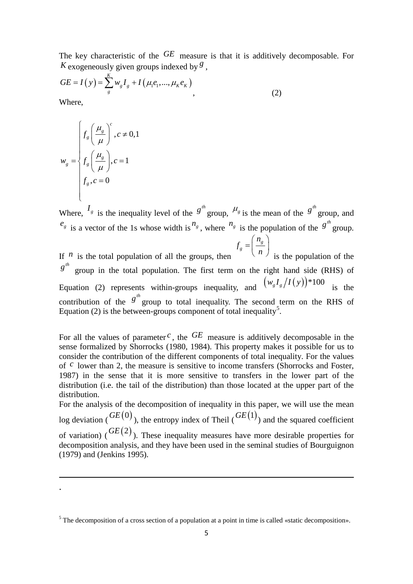The key characteristic of the *GE* measure is that it is additively decomposable. For *K* exogeneously given groups indexed by  $\frac{g}{g}$ .

$$
GE = I(y) = \sum_{g}^{K} w_{g} I_{g} + I(\mu_{1}e_{1}, ..., \mu_{K}e_{K})
$$
\n(2)

Where,

 $\overline{a}$ .

$$
w_{g} = \begin{cases} f_{g} \left(\frac{\mu_{g}}{\mu}\right)^{c}, c \neq 0, 1\\ f_{g} \left(\frac{\mu_{g}}{\mu}\right), c = 1\\ f_{g}, c = 0 \end{cases}
$$

Where,  $I_g$  is the inequality level of the  $g^{th}$  group,  $\mu_g$  is the mean of the  $g^{th}$  group, and  $e_g$  is a vector of the 1s whose width is  $n_g$ , where  $n_g$  is the population of the  $g^{th}$  group. *g g n f*  $=\left(\frac{n_g}{n}\right)$ <br>is the population of the

If  $n$  is the total population of all the groups, then  $g^{th}$ *g* group in the total population. The first term on the right hand side (RHS) of Equation (2) represents within-groups inequality, and  $(w_g I_g / I(y)) * 100$  is the contribution of the  $g^{th}$  group to total inequality. The second term on the RHS of Equation (2) is the between-groups component of total inequality<sup>[5](#page-4-0)</sup>.

For all the values of parameter  $c$ , the  $GE$  measure is additively decomposable in the sense formalized by Shorrocks (1980, 1984). This property makes it possible for us to consider the contribution of the different components of total inequality. For the values of <sup>*c*</sup> lower than 2, the measure is sensitive to income transfers (Shorrocks and Foster, 1987) in the sense that it is more sensitive to transfers in the lower part of the distribution (i.e. the tail of the distribution) than those located at the upper part of the distribution.

For the analysis of the decomposition of inequality in this paper, we will use the mean log deviation ( $\overline{GE(0)}$ ), the entropy index of Theil ( $\overline{GE(1)}$ ) and the squared coefficient of variation)  $(F^{CE}(2))$ . These inequality measures have more desirable properties for decomposition analysis, and they have been used in the seminal studies of Bourguignon (1979) and (Jenkins 1995).

<span id="page-4-0"></span><sup>&</sup>lt;sup>5</sup> The decomposition of a cross section of a population at a point in time is called «static decomposition».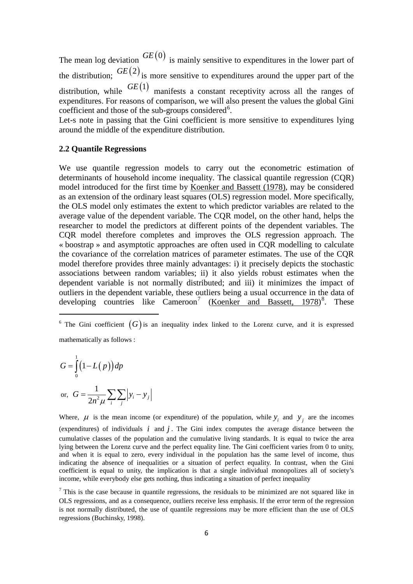The mean log deviation  $GE(0)$  is mainly sensitive to expenditures in the lower part of the distribution;  $GE(2)$  is more sensitive to expenditures around the upper part of the distribution, while  $GE(1)$  manifests a constant receptivity across all the ranges of expenditures. For reasons of comparison, we will also present the values the global Gini coefficient and those of the sub-groups considered<sup>[6](#page-5-0)</sup>.

Let-s note in passing that the Gini coefficient is more sensitive to expenditures lying around the middle of the expenditure distribution.

### **2.2 Quantile Regressions**

We use quantile regression models to carry out the econometric estimation of determinants of household income inequality. The classical quantile regression (CQR) model introduced for the first time by [Koenker and Bassett \(1978\),](http://www.ncbi.nlm.nih.gov/pmc/articles/PMC3568764/#R27) may be considered as an extension of the ordinary least squares (OLS) regression model. More specifically, the OLS model only estimates the extent to which predictor variables are related to the average value of the dependent variable. The CQR model, on the other hand, helps the researcher to model the predictors at different points of the dependent variables. The CQR model therefore completes and improves the OLS regression approach. The « boostrap » and asymptotic approaches are often used in CQR modelling to calculate the covariance of the correlation matrices of parameter estimates. The use of the CQR model therefore provides three mainly advantages: i) it precisely depicts the stochastic associations between random variables; ii) it also yields robust estimates when the dependent variable is not normally distributed; and iii) it minimizes the impact of outliers in the dependent variable, these outliers being a usual occurrence in the data of developing countries like Cameroon<sup>[7](#page-5-1)</sup> [\(Koenker and Bassett, 1978\)](http://www.ncbi.nlm.nih.gov/pmc/articles/PMC3568764/#R27)<sup>[8](#page-5-2)</sup>. These

<span id="page-5-0"></span><sup>6</sup> The Gini coefficient  $(G)$  is an inequality index linked to the Lorenz curve, and it is expressed mathematically as follows :

$$
\frac{1}{1}
$$

**.** 

$$
G = \int_{0}^{R} (1 - L(p)) dp
$$
  
or, 
$$
G = \frac{1}{2n^2 \mu} \sum_{i} \sum_{j} |y_i - y_j|
$$

<span id="page-5-2"></span>Where,  $\mu$  is the mean income (or expenditure) of the population, while  $y_i$  and  $y_j$  are the incomes (expenditures) of individuals  $i$  and  $j$ . The Gini index computes the average distance between the cumulative classes of the population and the cumulative living standards. It is equal to twice the area lying between the Lorenz curve and the perfect equality line. The Gini coefficient varies from 0 to unity, and when it is equal to zero, every individual in the population has the same level of income, thus indicating the absence of inequalities or a situation of perfect equality. In contrast, when the Gini coefficient is equal to unity, the implication is that a single individual monopolizes all of society's income, while everybody else gets nothing, thus indicating a situation of perfect inequality

<span id="page-5-1"></span> $<sup>7</sup>$  This is the case because in quantile regressions, the residuals to be minimized are not squared like in</sup> OLS regressions, and as a consequence, outliers receive less emphasis. If the error term of the regression is not normally distributed, the use of quantile regressions may be more efficient than the use of OLS regressions (Buchinsky, 1998).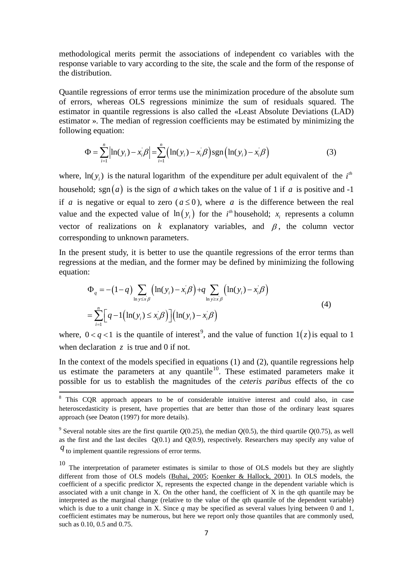methodological merits permit the associations of independent co variables with the response variable to vary according to the site, the scale and the form of the response of the distribution.

Quantile regressions of error terms use the minimization procedure of the absolute sum of errors, whereas OLS regressions minimize the sum of residuals squared. The estimator in quantile regressions is also called the «Least Absolute Deviations (LAD) estimator ». The median of regression coefficients may be estimated by minimizing the following equation:

$$
\Phi = \sum_{i=1}^{n} \left| \ln(y_i) - x_i \beta \right| = \sum_{i=1}^{n} \left( \ln(y_i) - x_i \beta \right) \text{sgn} \left( \ln(y_i) - x_i \beta \right)
$$
(3)

where,  $\ln(y_i)$  is the natural logarithm of the expenditure per adult equivalent of the  $i^{th}$ household; sgn(a) is the sign of *a* which takes on the value of 1 if *a* is positive and -1 if *a* is negative or equal to zero ( $a \le 0$ ), where *a* is the difference between the real value and the expected value of  $\ln(y_i)$  for the *i*<sup>th</sup> household; *x<sub>i</sub>* represents a column vector of realizations on  $k$  explanatory variables, and  $\beta$ , the column vector corresponding to unknown parameters.

In the present study, it is better to use the quantile regressions of the error terms than regressions at the median, and the former may be defined by minimizing the following equation:

$$
\Phi_q = -(1-q) \sum_{\ln y \le x/\beta} \left( \ln(y_i) - x_i/\beta \right) + q \sum_{\ln y \ge x/\beta} \left( \ln(y_i) - x_i/\beta \right)
$$
\n
$$
= \sum_{i=1}^n \left[ q - 1 \left( \ln(y_i) \le x_i/\beta \right) \right] \left( \ln(y_i) - x_i/\beta \right) \tag{4}
$$

where,  $0 < q < 1$  is the quantile of interest<sup>[9](#page-6-0)</sup>, and the value of function  $1(z)$  is equal to 1 when declaration *z* is true and 0 if not.

In the context of the models specified in equations (1) and (2), quantile regressions help In the context of the models specified in equations  $(1)$  and  $(2)$ , quantifie regressions help us estimate the parameters at any quantile<sup>[10](#page-6-1)</sup>. These estimated parameters make it possible for us to establish the magnitudes of the *ceteris paribus* effects of the co

<sup>&</sup>lt;sup>8</sup> This COR approach appears to be of considerable intuitive interest and could also, in case heteroscedasticity is present, have properties that are better than those of the ordinary least squares approach (see Deaton (1997) for more details).

<span id="page-6-0"></span><sup>&</sup>lt;sup>9</sup> Several notable sites are the first quartile  $Q(0.25)$ , the median  $Q(0.5)$ , the third quartile  $Q(0.75)$ , as well as the first and the last deciles  $Q(0.1)$  and  $Q(0.9)$ , respectively. Researchers may specify any value of

*q* to implement quantile regressions of error terms.

<span id="page-6-1"></span><sup>&</sup>lt;sup>10</sup> The interpretation of parameter estimates is similar to those of OLS models but they are slightly different from those of OLS models [\(Buhai, 2005;](http://www.ncbi.nlm.nih.gov/pmc/articles/PMC3568764/#R6) [Koenker & Hallock, 2001\)](http://www.ncbi.nlm.nih.gov/pmc/articles/PMC3568764/#R28). In OLS models, the coefficient of a specific predictor X, represents the expected change in the dependent variable which is associated with a unit change in X. On the other hand, the coefficient of X in the qth quantile may be interpreted as the marginal change (relative to the value of the qth quantile of the dependent variable) which is due to a unit change in X. Since *q* may be specified as several values lying between 0 and 1, coefficient estimates may be numerous, but here we report only those quantiles that are commonly used, such as 0.10, 0.5 and 0.75.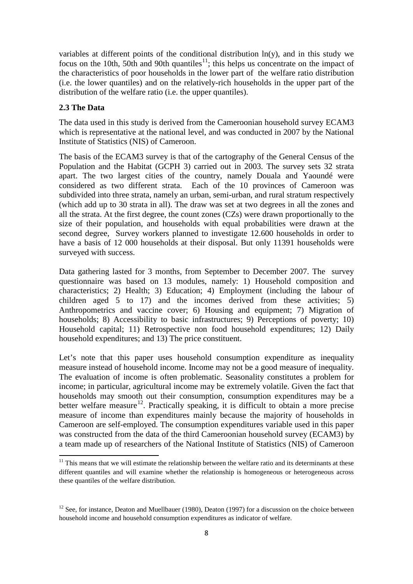variables at different points of the conditional distribution  $ln(y)$ , and in this study we focus on the 10th, 50th and 90th quantiles<sup>11</sup>; this helps us concentrate on the impact of the characteristics of poor households in the lower part of the welfare ratio distribution (i.e. the lower quantiles) and on the relatively-rich households in the upper part of the distribution of the welfare ratio (i.e. the upper quantiles).

# **2.3 The Data**

The data used in this study is derived from the Cameroonian household survey ECAM3 which is representative at the national level, and was conducted in 2007 by the National Institute of Statistics (NIS) of Cameroon.

The basis of the ECAM3 survey is that of the cartography of the General Census of the Population and the Habitat (GCPH 3) carried out in 2003. The survey sets 32 strata apart. The two largest cities of the country, namely Douala and Yaoundé were considered as two different strata. Each of the 10 provinces of Cameroon was subdivided into three strata, namely an urban, semi-urban, and rural stratum respectively (which add up to 30 strata in all). The draw was set at two degrees in all the zones and all the strata. At the first degree, the count zones (CZs) were drawn proportionally to the size of their population, and households with equal probabilities were drawn at the second degree, Survey workers planned to investigate 12.600 households in order to have a basis of 12 000 households at their disposal. But only 11391 households were surveyed with success.

Data gathering lasted for 3 months, from September to December 2007. The survey questionnaire was based on 13 modules, namely: 1) Household composition and characteristics; 2) Health; 3) Education; 4) Employment (including the labour of children aged 5 to 17) and the incomes derived from these activities; 5) Anthropometrics and vaccine cover; 6) Housing and equipment; 7) Migration of households; 8) Accessibility to basic infrastructures; 9) Perceptions of poverty; 10) Household capital; 11) Retrospective non food household expenditures; 12) Daily household expenditures; and 13) The price constituent.

Let's note that this paper uses household consumption expenditure as inequality measure instead of household income. Income may not be a good measure of inequality. The evaluation of income is often problematic. Seasonality constitutes a problem for income; in particular, agricultural income may be extremely volatile. Given the fact that households may smooth out their consumption, consumption expenditures may be a better welfare measure<sup>12</sup>. Practically speaking, it is difficult to obtain a more precise measure of income than expenditures mainly because the majority of households in Cameroon are self-employed. The consumption expenditures variable used in this paper was constructed from the data of the third Cameroonian household survey (ECAM3) by a team made up of researchers of the National Institute of Statistics (NIS) of Cameroon

<span id="page-7-0"></span> $11$  This means that we will estimate the relationship between the welfare ratio and its determinants at these different quantiles and will examine whether the relationship is homogeneous or heterogeneous across these quantiles of the welfare distribution.

<span id="page-7-1"></span> $12$  See, for instance, Deaton and Muellbauer (1980), Deaton (1997) for a discussion on the choice between household income and household consumption expenditures as indicator of welfare.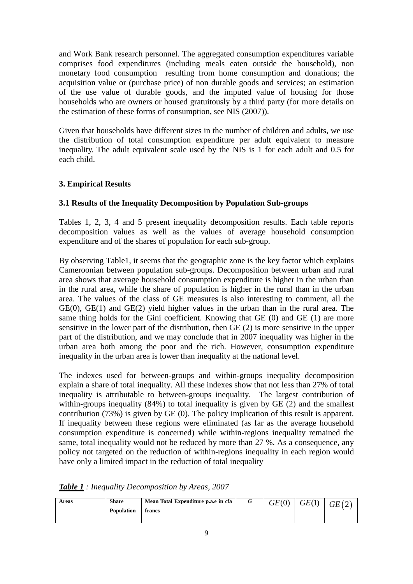and Work Bank research personnel. The aggregated consumption expenditures variable comprises food expenditures (including meals eaten outside the household), non monetary food consumption resulting from home consumption and donations; the acquisition value or (purchase price) of non durable goods and services; an estimation of the use value of durable goods, and the imputed value of housing for those households who are owners or housed gratuitously by a third party (for more details on the estimation of these forms of consumption, see NIS (2007)).

Given that households have different sizes in the number of children and adults, we use the distribution of total consumption expenditure per adult equivalent to measure inequality. The adult equivalent scale used by the NIS is 1 for each adult and 0.5 for each child.

# **3. Empirical Results**

# **3.1 Results of the Inequality Decomposition by Population Sub-groups**

Tables 1, 2, 3, 4 and 5 present inequality decomposition results. Each table reports decomposition values as well as the values of average household consumption expenditure and of the shares of population for each sub-group.

By observing Table1, it seems that the geographic zone is the key factor which explains Cameroonian between population sub-groups. Decomposition between urban and rural area shows that average household consumption expenditure is higher in the urban than in the rural area, while the share of population is higher in the rural than in the urban area. The values of the class of GE measures is also interesting to comment, all the GE(0), GE(1) and GE(2) yield higher values in the urban than in the rural area. The same thing holds for the Gini coefficient. Knowing that GE (0) and GE (1) are more sensitive in the lower part of the distribution, then GE (2) is more sensitive in the upper part of the distribution, and we may conclude that in 2007 inequality was higher in the urban area both among the poor and the rich. However, consumption expenditure inequality in the urban area is lower than inequality at the national level.

The indexes used for between-groups and within-groups inequality decomposition explain a share of total inequality. All these indexes show that not less than 27% of total inequality is attributable to between-groups inequality. The largest contribution of within-groups inequality (84%) to total inequality is given by GE (2) and the smallest contribution (73%) is given by GE (0). The policy implication of this result is apparent. If inequality between these regions were eliminated (as far as the average household consumption expenditure is concerned) while within-regions inequality remained the same, total inequality would not be reduced by more than 27 %. As a consequence, any policy not targeted on the reduction of within-regions inequality in each region would have only a limited impact in the reduction of total inequality

|  |  |  | <b>Table 1</b> : Inequality Decomposition by Areas, 2007 |
|--|--|--|----------------------------------------------------------|
|--|--|--|----------------------------------------------------------|

| Areas | <b>Share</b><br><b>Population</b> | Mean Total Expenditure p.a.e in cfa<br>francs | GE(0) | GE(1) | GE(2) |
|-------|-----------------------------------|-----------------------------------------------|-------|-------|-------|
|       |                                   |                                               |       |       |       |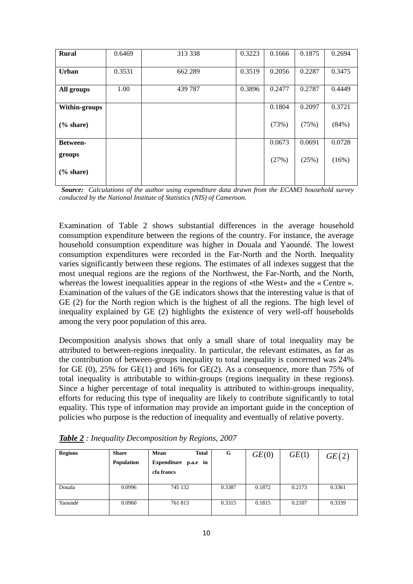| <b>Rural</b>    | 0.6469 | 313 338 | 0.3223 | 0.1666 | 0.1875 | 0.2694   |
|-----------------|--------|---------|--------|--------|--------|----------|
| <b>Urban</b>    | 0.3531 | 662 289 | 0.3519 | 0.2056 | 0.2287 | 0.3475   |
| All groups      | 1.00   | 439 787 | 0.3896 | 0.2477 | 0.2787 | 0.4449   |
| Within-groups   |        |         |        | 0.1804 | 0.2097 | 0.3721   |
| % share)        |        |         |        | (73%)  | (75%)  | $(84\%)$ |
| <b>Between-</b> |        |         |        | 0.0673 | 0.0691 | 0.0728   |
| groups          |        |         |        | (27%)  | (25%)  | (16%)    |
| % share)        |        |         |        |        |        |          |

*Source: Calculations of the author using expenditure data drawn from the ECAM3 household survey conducted by the National Institute of Statistics (NIS) of Cameroon.* 

Examination of Table 2 shows substantial differences in the average household consumption expenditure between the regions of the country. For instance, the average household consumption expenditure was higher in Douala and Yaoundé. The lowest consumption expenditures were recorded in the Far-North and the North. Inequality varies significantly between these regions. The estimates of all indexes suggest that the most unequal regions are the regions of the Northwest, the Far-North, and the North, whereas the lowest inequalities appear in the regions of «the West» and the « Centre ». Examination of the values of the GE indicators shows that the interesting value is that of GE (2) for the North region which is the highest of all the regions. The high level of inequality explained by GE (2) highlights the existence of very well-off households among the very poor population of this area.

Decomposition analysis shows that only a small share of total inequality may be attributed to between-regions inequality. In particular, the relevant estimates, as far as the contribution of between-groups inequality to total inequality is concerned was 24% for GE (0), 25% for GE(1) and 16% for GE(2). As a consequence, more than 75% of total inequality is attributable to within-groups (regions inequality in these regions). Since a higher percentage of total inequality is attributed to within-groups inequality, efforts for reducing this type of inequality are likely to contribute significantly to total equality. This type of information may provide an important guide in the conception of policies who purpose is the reduction of inequality and eventually of relative poverty.

| <b>Regions</b> | <b>Share</b><br>Population | Mean<br><b>Total</b><br>Expenditure p.a.e in<br>cfa francs | G      | GE(0)  | GE(1)  | GE(2)  |
|----------------|----------------------------|------------------------------------------------------------|--------|--------|--------|--------|
| Douala         | 0.0996                     | 745 132                                                    | 0.3387 | 0.1872 | 0.2173 | 0.3361 |
| Yaoundé        | 0.0960                     | 761 813                                                    | 0.3315 | 0.1815 | 0.2107 | 0.3339 |

*Table 2 : Inequality Decomposition by Regions, 2007*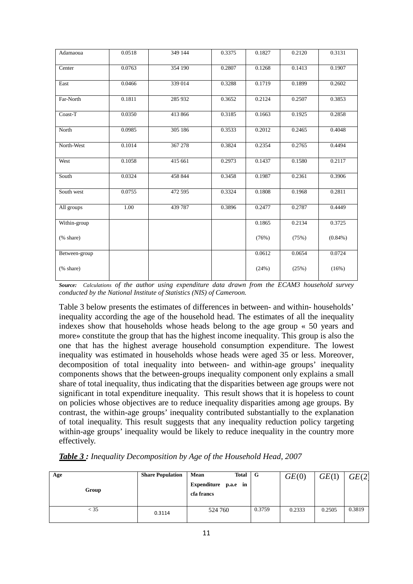| Adamaoua      | 0.0518 | 349 144 | 0.3375 | 0.1827 | 0.2120 | 0.3131     |
|---------------|--------|---------|--------|--------|--------|------------|
| Center        | 0.0763 | 354 190 | 0.2807 | 0.1268 | 0.1413 | 0.1907     |
| East          | 0.0466 | 339 014 | 0.3288 | 0.1719 | 0.1899 | 0.2602     |
| Far-North     | 0.1811 | 285 932 | 0.3652 | 0.2124 | 0.2507 | 0.3853     |
| Coast-T       | 0.0350 | 413 866 | 0.3185 | 0.1663 | 0.1925 | 0.2858     |
| North         | 0.0985 | 305 186 | 0.3533 | 0.2012 | 0.2465 | 0.4048     |
| North-West    | 0.1014 | 367 278 | 0.3824 | 0.2354 | 0.2765 | 0.4494     |
| West          | 0.1058 | 415 661 | 0.2973 | 0.1437 | 0.1580 | 0.2117     |
| South         | 0.0324 | 458 844 | 0.3458 | 0.1987 | 0.2361 | 0.3906     |
| South west    | 0.0755 | 472 595 | 0.3324 | 0.1808 | 0.1968 | 0.2811     |
| All groups    | 1.00   | 439 787 | 0.3896 | 0.2477 | 0.2787 | 0.4449     |
| Within-group  |        |         |        | 0.1865 | 0.2134 | 0.3725     |
| (% share)     |        |         |        | (76%)  | (75%)  | $(0.84\%)$ |
| Between-group |        |         |        | 0.0612 | 0.0654 | 0.0724     |
| (% share)     |        |         |        | (24%)  | (25%)  | (16%)      |

*Source: Calculations of the author using expenditure data drawn from the ECAM3 household survey conducted by the National Institute of Statistics (NIS) of Cameroon.* 

Table 3 below presents the estimates of differences in between- and within- households' inequality according the age of the household head. The estimates of all the inequality indexes show that households whose heads belong to the age group « 50 years and more» constitute the group that has the highest income inequality. This group is also the one that has the highest average household consumption expenditure. The lowest inequality was estimated in households whose heads were aged 35 or less. Moreover, decomposition of total inequality into between- and within-age groups' inequality components shows that the between-groups inequality component only explains a small share of total inequality, thus indicating that the disparities between age groups were not significant in total expenditure inequality. This result shows that it is hopeless to count on policies whose objectives are to reduce inequality disparities among age groups. By contrast, the within-age groups' inequality contributed substantially to the explanation of total inequality. This result suggests that any inequality reduction policy targeting within-age groups' inequality would be likely to reduce inequality in the country more effectively.

| Age    | <b>Share Population</b> | Total $\mid G \mid$<br>Mean        |        | GE(0)  | GE(1)  | GE(2)  |
|--------|-------------------------|------------------------------------|--------|--------|--------|--------|
| Group  |                         | Expenditure p.a.e in<br>cfa francs |        |        |        |        |
| $<$ 35 | 0.3114                  | 524 760                            | 0.3759 | 0.2333 | 0.2505 | 0.3819 |

*Table 3 : Inequality Decomposition by Age of the Household Head, 2007*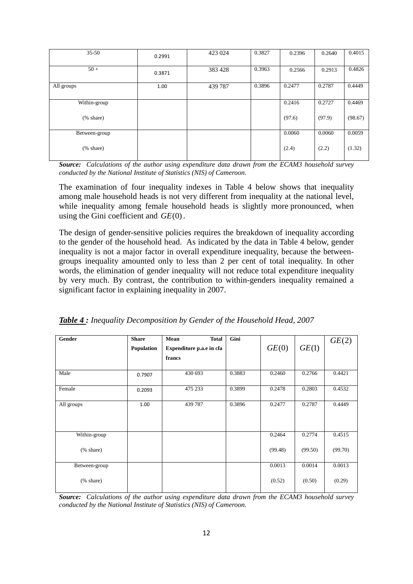| $35 - 50$                  | 0.2991 | 423 024 | 0.3827 | 0.2396 | 0.2640 | 0.4015  |
|----------------------------|--------|---------|--------|--------|--------|---------|
| $50+$                      | 0.3871 | 383 428 | 0.3963 | 0.2566 | 0.2913 | 0.4826  |
| All groups                 | 1.00   | 439 787 | 0.3896 | 0.2477 | 0.2787 | 0.4449  |
| Within-group               |        |         |        | 0.2416 | 0.2727 | 0.4469  |
| $(% \mathbf{A})$ (% share) |        |         |        | (97.6) | (97.9) | (98.67) |
| Between-group              |        |         |        | 0.0060 | 0.0060 | 0.0059  |
| $(% \mathbf{A})$ (% share) |        |         |        | (2.4)  | (2.2)  | (1.32)  |

*Source: Calculations of the author using expenditure data drawn from the ECAM3 household survey conducted by the National Institute of Statistics (NIS) of Cameroon.* 

The examination of four inequality indexes in Table 4 below shows that inequality among male household heads is not very different from inequality at the national level, while inequality among female household heads is slightly more pronounced, when using the Gini coefficient and *GE*(0).

The design of gender-sensitive policies requires the breakdown of inequality according to the gender of the household head. As indicated by the data in Table 4 below, gender inequality is not a major factor in overall expenditure inequality, because the betweengroups inequality amounted only to less than 2 per cent of total inequality. In other words, the elimination of gender inequality will not reduce total expenditure inequality by very much. By contrast, the contribution to within-genders inequality remained a significant factor in explaining inequality in 2007.

|  |  |  | Table 4: Inequality Decomposition by Gender of the Household Head, 2007 |
|--|--|--|-------------------------------------------------------------------------|
|--|--|--|-------------------------------------------------------------------------|

| Gender                     | <b>Share</b> | <b>Total</b><br>Mean     | Gini   |         |         | GE(2)   |
|----------------------------|--------------|--------------------------|--------|---------|---------|---------|
|                            | Population   | Expenditure p.a.e in cfa |        | GE(0)   | GE(1)   |         |
|                            |              | francs                   |        |         |         |         |
| Male                       | 0.7907       | 430 693                  | 0.3883 | 0.2460  | 0.2766  | 0.4421  |
| Female                     | 0.2093       | 475 233                  | 0.3899 | 0.2478  | 0.2803  | 0.4532  |
| All groups                 | 1.00         | 439 787                  | 0.3896 | 0.2477  | 0.2787  | 0.4449  |
| Within-group               |              |                          |        | 0.2464  | 0.2774  | 0.4515  |
| (% share)                  |              |                          |        | (99.48) | (99.50) | (99.70) |
| Between-group              |              |                          |        | 0.0013  | 0.0014  | 0.0013  |
| $(% \mathbf{A})$ (% share) |              |                          |        | (0.52)  | (0.50)  | (0.29)  |

*Source: Calculations of the author using expenditure data drawn from the ECAM3 household survey conducted by the National Institute of Statistics (NIS) of Cameroon.*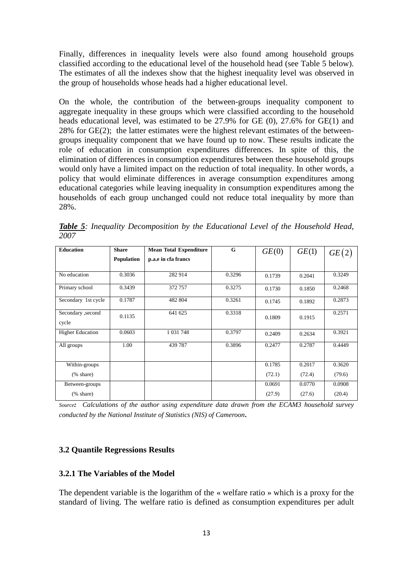Finally, differences in inequality levels were also found among household groups classified according to the educational level of the household head (see Table 5 below). The estimates of all the indexes show that the highest inequality level was observed in the group of households whose heads had a higher educational level.

On the whole, the contribution of the between-groups inequality component to aggregate inequality in these groups which were classified according to the household heads educational level, was estimated to be 27.9% for GE (0), 27.6% for GE(1) and 28% for GE(2); the latter estimates were the highest relevant estimates of the betweengroups inequality component that we have found up to now. These results indicate the role of education in consumption expenditures differences. In spite of this, the elimination of differences in consumption expenditures between these household groups would only have a limited impact on the reduction of total inequality. In other words, a policy that would eliminate differences in average consumption expenditures among educational categories while leaving inequality in consumption expenditures among the households of each group unchanged could not reduce total inequality by more than 28%.

*Table 5: Inequality Decomposition by the Educational Level of the Household Head, 2007*

| <b>Education</b>           | <b>Share</b>      | <b>Mean Total Expenditure</b> | G      | GE(0)  | GE(1)  | GE(2)  |
|----------------------------|-------------------|-------------------------------|--------|--------|--------|--------|
|                            | <b>Population</b> | p.a.e in cfa francs           |        |        |        |        |
|                            |                   |                               |        |        |        |        |
| No education               | 0.3036            | 282 914                       | 0.3296 | 0.1739 | 0.2041 | 0.3249 |
| Primary school             | 0.3439            | 372 757                       | 0.3275 | 0.1730 | 0.1850 | 0.2468 |
| Secondary 1st cycle        | 0.1787            | 482 804                       | 0.3261 | 0.1745 | 0.1892 | 0.2873 |
| Secondary , second         | 0.1135            | 641 625                       | 0.3318 | 0.1809 | 0.1915 | 0.2571 |
| cycle                      |                   |                               |        |        |        |        |
| <b>Higher Education</b>    | 0.0603            | 1 0 3 1 7 4 8                 | 0.3797 | 0.2409 | 0.2634 | 0.3921 |
| All groups                 | 1.00              | 439 787                       | 0.3896 | 0.2477 | 0.2787 | 0.4449 |
|                            |                   |                               |        |        |        |        |
| Within-groups              |                   |                               |        | 0.1785 | 0.2017 | 0.3620 |
| $(% \mathbf{A})$ (% share) |                   |                               |        | (72.1) | (72.4) | (79.6) |
| Between-groups             |                   |                               |        | 0.0691 | 0.0770 | 0.0908 |
| $(% \mathbf{A})$ (% share) |                   |                               |        | (27.9) | (27.6) | (20.4) |

*Source: Calculations of the author using expenditure data drawn from the ECAM3 household survey conducted by the National Institute of Statistics (NIS) of Cameroon.*

#### **3.2 Quantile Regressions Results**

#### **3.2.1 The Variables of the Model**

The dependent variable is the logarithm of the « welfare ratio » which is a proxy for the standard of living. The welfare ratio is defined as consumption expenditures per adult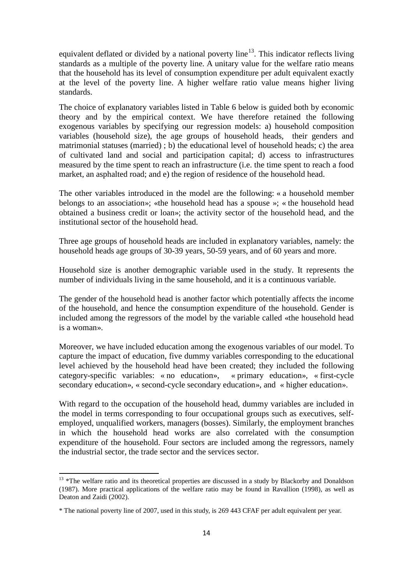equivalent deflated or divided by a national poverty line<sup>[13](#page-13-0)</sup>. This indicator reflects living standards as a multiple of the poverty line. A unitary value for the welfare ratio means that the household has its level of consumption expenditure per adult equivalent exactly at the level of the poverty line. A higher welfare ratio value means higher living standards.

The choice of explanatory variables listed in Table 6 below is guided both by economic theory and by the empirical context. We have therefore retained the following exogenous variables by specifying our regression models: a) household composition variables (household size), the age groups of household heads, their genders and matrimonial statuses (married) ; b) the educational level of household heads; c) the area of cultivated land and social and participation capital; d) access to infrastructures measured by the time spent to reach an infrastructure (i.e. the time spent to reach a food market, an asphalted road; and e) the region of residence of the household head.

The other variables introduced in the model are the following: « a household member belongs to an association»; «the household head has a spouse »; « the household head obtained a business credit or loan»; the activity sector of the household head, and the institutional sector of the household head.

Three age groups of household heads are included in explanatory variables, namely: the household heads age groups of 30-39 years, 50-59 years, and of 60 years and more.

Household size is another demographic variable used in the study. It represents the number of individuals living in the same household, and it is a continuous variable.

The gender of the household head is another factor which potentially affects the income of the household, and hence the consumption expenditure of the household. Gender is included among the regressors of the model by the variable called «the household head is a woman».

Moreover, we have included education among the exogenous variables of our model. To capture the impact of education, five dummy variables corresponding to the educational level achieved by the household head have been created; they included the following category-specific variables: « no education», « primary education», « first-cycle secondary education», « second-cycle secondary education», and « higher education».

With regard to the occupation of the household head, dummy variables are included in the model in terms corresponding to four occupational groups such as executives, selfemployed, unqualified workers, managers (bosses). Similarly, the employment branches in which the household head works are also correlated with the consumption expenditure of the household. Four sectors are included among the regressors, namely the industrial sector, the trade sector and the services sector.

<span id="page-13-0"></span><sup>&</sup>lt;sup>13</sup> \*The welfare ratio and its theoretical properties are discussed in a study by Blackorby and Donaldson (1987). More practical applications of the welfare ratio may be found in Ravallion (1998), as well as Deaton and Zaidi (2002).

<sup>\*</sup> The national poverty line of 2007, used in this study, is 269 443 CFAF per adult equivalent per year.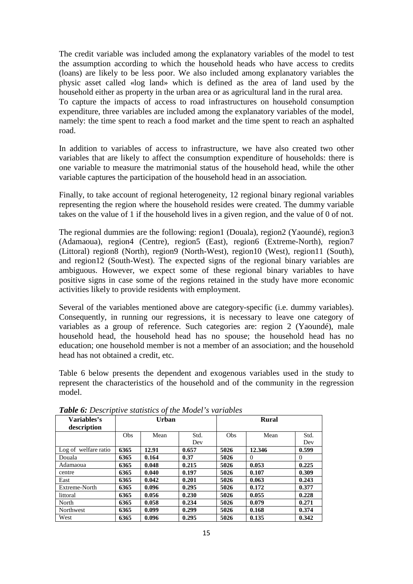The credit variable was included among the explanatory variables of the model to test the assumption according to which the household heads who have access to credits (loans) are likely to be less poor. We also included among explanatory variables the physic asset called «log land» which is defined as the area of land used by the household either as property in the urban area or as agricultural land in the rural area.

To capture the impacts of access to road infrastructures on household consumption expenditure, three variables are included among the explanatory variables of the model, namely: the time spent to reach a food market and the time spent to reach an asphalted road.

In addition to variables of access to infrastructure, we have also created two other variables that are likely to affect the consumption expenditure of households: there is one variable to measure the matrimonial status of the household head, while the other variable captures the participation of the household head in an association*.*

Finally, to take account of regional heterogeneity, 12 regional binary regional variables representing the region where the household resides were created. The dummy variable takes on the value of 1 if the household lives in a given region, and the value of 0 of not.

The regional dummies are the following: region1 (Douala), region2 (Yaoundé), region3 (Adamaoua), region4 (Centre), region5 (East), region6 (Extreme-North), region7 (Littoral) region8 (North), region9 (North-West), region10 (West), region11 (South), and region12 (South-West). The expected signs of the regional binary variables are ambiguous. However, we expect some of these regional binary variables to have positive signs in case some of the regions retained in the study have more economic activities likely to provide residents with employment.

Several of the variables mentioned above are category-specific (i.e. dummy variables). Consequently, in running our regressions, it is necessary to leave one category of variables as a group of reference. Such categories are: region 2 (Yaoundé), male household head, the household head has no spouse; the household head has no education; one household member is not a member of an association; and the household head has not obtained a credit, etc.

Table 6 below presents the dependent and exogenous variables used in the study to represent the characteristics of the household and of the community in the regression model.

| Variables's          |            | Urban |       |      | <b>Rural</b> |          |  |
|----------------------|------------|-------|-------|------|--------------|----------|--|
| description          |            |       |       |      |              |          |  |
|                      | <b>Obs</b> | Mean  | Std.  | Obs  | Mean         | Std.     |  |
|                      |            |       | Dev   |      |              | Dev      |  |
| Log of welfare ratio | 6365       | 12.91 | 0.657 | 5026 | 12.346       | 0.599    |  |
| Douala               | 6365       | 0.164 | 0.37  | 5026 | $\Omega$     | $\Omega$ |  |
| Adamaoua             | 6365       | 0.048 | 0.215 | 5026 | 0.053        | 0.225    |  |
| centre               | 6365       | 0.040 | 0.197 | 5026 | 0.107        | 0.309    |  |
| East                 | 6365       | 0.042 | 0.201 | 5026 | 0.063        | 0.243    |  |
| Extreme-North        | 6365       | 0.096 | 0.295 | 5026 | 0.172        | 0.377    |  |
| littoral             | 6365       | 0.056 | 0.230 | 5026 | 0.055        | 0.228    |  |
| North                | 6365       | 0.058 | 0.234 | 5026 | 0.079        | 0.271    |  |
| Northwest            | 6365       | 0.099 | 0.299 | 5026 | 0.168        | 0.374    |  |
| West                 | 6365       | 0.096 | 0.295 | 5026 | 0.135        | 0.342    |  |

*Table 6: Descriptive statistics of the Model's variables*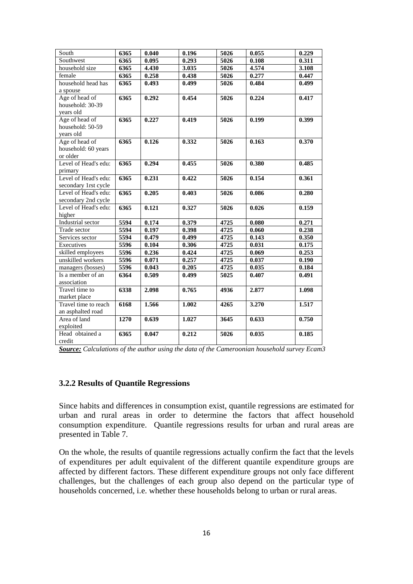| South                | 6365 | 0.040 | 0.196 | $\overline{5026}$ | 0.055 | 0.229 |
|----------------------|------|-------|-------|-------------------|-------|-------|
| Southwest            | 6365 | 0.095 | 0.293 | 5026              | 0.108 | 0.311 |
| household size       | 6365 | 4.430 | 3.035 | 5026              | 4.574 | 3.108 |
| female               | 6365 | 0.258 | 0.438 | 5026              | 0.277 | 0.447 |
| household head has   | 6365 | 0.493 | 0.499 | 5026              | 0.484 | 0.499 |
| a spouse             |      |       |       |                   |       |       |
| Age of head of       | 6365 | 0.292 | 0.454 | 5026              | 0.224 | 0.417 |
| household: 30-39     |      |       |       |                   |       |       |
| vears old            |      |       |       |                   |       |       |
| Age of head of       | 6365 | 0.227 | 0.419 | 5026              | 0.199 | 0.399 |
| household: 50-59     |      |       |       |                   |       |       |
| years old            |      |       |       |                   |       |       |
| Age of head of       | 6365 | 0.126 | 0.332 | 5026              | 0.163 | 0.370 |
| household: 60 years  |      |       |       |                   |       |       |
| or older             |      |       |       |                   |       |       |
| Level of Head's edu: | 6365 | 0.294 | 0.455 | 5026              | 0.380 | 0.485 |
| primary              |      |       |       |                   |       |       |
| Level of Head's edu: | 6365 | 0.231 | 0.422 | $\overline{50}26$ | 0.154 | 0.361 |
| secondary 1rst cycle |      |       |       |                   |       |       |
| Level of Head's edu: | 6365 | 0.205 | 0.403 | 5026              | 0.086 | 0.280 |
| secondary 2nd cycle  |      |       |       |                   |       |       |
| Level of Head's edu: | 6365 | 0.121 | 0.327 | 5026              | 0.026 | 0.159 |
| higher               |      |       |       |                   |       |       |
| Industrial sector    | 5594 | 0.174 | 0.379 | 4725              | 0.080 | 0.271 |
| Trade sector         | 5594 | 0.197 | 0.398 | 4725              | 0.060 | 0.238 |
| Services sector      | 5594 | 0.479 | 0.499 | 4725              | 0.143 | 0.350 |
| Executives           | 5596 | 0.104 | 0.306 | 4725              | 0.031 | 0.175 |
| skilled employees    | 5596 | 0.236 | 0.424 | 4725              | 0.069 | 0.253 |
| unskilled workers    | 5596 | 0.071 | 0.257 | 4725              | 0.037 | 0.190 |
| managers (bosses)    | 5596 | 0.043 | 0.205 | 4725              | 0.035 | 0.184 |
| Is a member of an    | 6364 | 0.509 | 0.499 | 5025              | 0.407 | 0.491 |
| association          |      |       |       |                   |       |       |
| Travel time to       | 6338 | 2.098 | 0.765 | 4936              | 2.877 | 1.098 |
| market place         |      |       |       |                   |       |       |
| Travel time to reach | 6168 | 1.566 | 1.002 | 4265              | 3.270 | 1.517 |
| an asphalted road    |      |       |       |                   |       |       |
| Area of land         | 1270 | 0.639 | 1.027 | 3645              | 0.633 | 0.750 |
| exploited            |      |       |       |                   |       |       |
| Head obtained a      | 6365 | 0.047 | 0.212 | 5026              | 0.035 | 0.185 |
| credit               |      |       |       |                   |       |       |

*Source: Calculations of the author using the data of the Cameroonian household survey Ecam3*

### **3.2.2 Results of Quantile Regressions**

Since habits and differences in consumption exist, quantile regressions are estimated for urban and rural areas in order to determine the factors that affect household consumption expenditure. Quantile regressions results for urban and rural areas are presented in Table 7.

On the whole, the results of quantile regressions actually confirm the fact that the levels of expenditures per adult equivalent of the different quantile expenditure groups are affected by different factors. These different expenditure groups not only face different challenges, but the challenges of each group also depend on the particular type of households concerned, i.e. whether these households belong to urban or rural areas.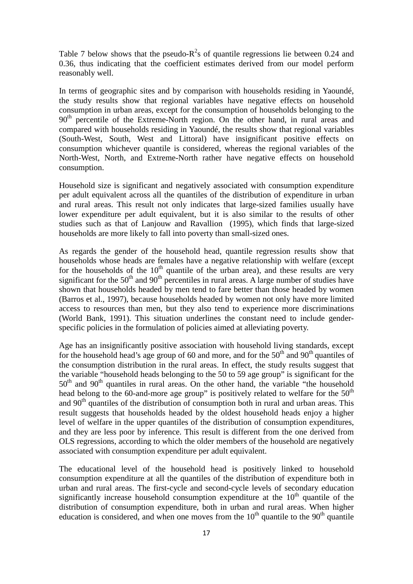Table 7 below shows that the pseudo- $R^2$ s of quantile regressions lie between 0.24 and 0.36, thus indicating that the coefficient estimates derived from our model perform reasonably well.

In terms of geographic sites and by comparison with households residing in Yaoundé, the study results show that regional variables have negative effects on household consumption in urban areas, except for the consumption of households belonging to the  $90<sup>th</sup>$  percentile of the Extreme-North region. On the other hand, in rural areas and compared with households residing in Yaoundé, the results show that regional variables (South-West, South, West and Littoral) have insignificant positive effects on consumption whichever quantile is considered, whereas the regional variables of the North-West, North, and Extreme-North rather have negative effects on household consumption.

Household size is significant and negatively associated with consumption expenditure per adult equivalent across all the quantiles of the distribution of expenditure in urban and rural areas. This result not only indicates that large-sized families usually have lower expenditure per adult equivalent, but it is also similar to the results of other studies such as that of Lanjouw and Ravallion (1995), which finds that large-sized households are more likely to fall into poverty than small-sized ones.

As regards the gender of the household head, quantile regression results show that households whose heads are females have a negative relationship with welfare (except for the households of the  $10<sup>th</sup>$  quantile of the urban area), and these results are very significant for the  $50<sup>th</sup>$  and  $90<sup>th</sup>$  percentiles in rural areas. A large number of studies have shown that households headed by men tend to fare better than those headed by women (Barros et al., 1997), because households headed by women not only have more limited access to resources than men, but they also tend to experience more discriminations (World Bank, 1991). This situation underlines the constant need to include genderspecific policies in the formulation of policies aimed at alleviating poverty.

Age has an insignificantly positive association with household living standards, except for the household head's age group of 60 and more, and for the  $50<sup>th</sup>$  and  $90<sup>th</sup>$  quantiles of the consumption distribution in the rural areas. In effect, the study results suggest that the variable "household heads belonging to the 50 to 59 age group" is significant for the  $50<sup>th</sup>$  and  $90<sup>th</sup>$  quantiles in rural areas. On the other hand, the variable "the household" head belong to the 60-and-more age group" is positively related to welfare for the  $50<sup>th</sup>$ and  $90<sup>th</sup>$  quantiles of the distribution of consumption both in rural and urban areas. This result suggests that households headed by the oldest household heads enjoy a higher level of welfare in the upper quantiles of the distribution of consumption expenditures, and they are less poor by inference. This result is different from the one derived from OLS regressions, according to which the older members of the household are negatively associated with consumption expenditure per adult equivalent.

The educational level of the household head is positively linked to household consumption expenditure at all the quantiles of the distribution of expenditure both in urban and rural areas. The first-cycle and second-cycle levels of secondary education significantly increase household consumption expenditure at the  $10<sup>th</sup>$  quantile of the distribution of consumption expenditure, both in urban and rural areas. When higher education is considered, and when one moves from the  $10<sup>th</sup>$  quantile to the  $90<sup>th</sup>$  quantile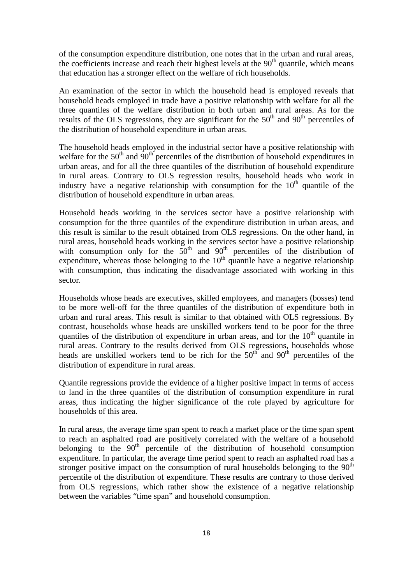of the consumption expenditure distribution, one notes that in the urban and rural areas, the coefficients increase and reach their highest levels at the  $90<sup>th</sup>$  quantile, which means that education has a stronger effect on the welfare of rich households.

An examination of the sector in which the household head is employed reveals that household heads employed in trade have a positive relationship with welfare for all the three quantiles of the welfare distribution in both urban and rural areas. As for the results of the OLS regressions, they are significant for the  $50<sup>th</sup>$  and  $90<sup>th</sup>$  percentiles of the distribution of household expenditure in urban areas.

The household heads employed in the industrial sector have a positive relationship with welfare for the  $50<sup>th</sup>$  and  $90<sup>th</sup>$  percentiles of the distribution of household expenditures in urban areas, and for all the three quantiles of the distribution of household expenditure in rural areas. Contrary to OLS regression results, household heads who work in industry have a negative relationship with consumption for the  $10<sup>th</sup>$  quantile of the distribution of household expenditure in urban areas.

Household heads working in the services sector have a positive relationship with consumption for the three quantiles of the expenditure distribution in urban areas, and this result is similar to the result obtained from OLS regressions. On the other hand, in rural areas, household heads working in the services sector have a positive relationship with consumption only for the  $50<sup>th</sup>$  and  $90<sup>th</sup>$  percentiles of the distribution of expenditure, whereas those belonging to the  $10<sup>th</sup>$  quantile have a negative relationship with consumption, thus indicating the disadvantage associated with working in this sector.

Households whose heads are executives, skilled employees, and managers (bosses) tend to be more well-off for the three quantiles of the distribution of expenditure both in urban and rural areas. This result is similar to that obtained with OLS regressions. By contrast, households whose heads are unskilled workers tend to be poor for the three quantiles of the distribution of expenditure in urban areas, and for the  $10<sup>th</sup>$  quantile in rural areas. Contrary to the results derived from OLS regressions, households whose heads are unskilled workers tend to be rich for the  $50<sup>th</sup>$  and  $90<sup>th</sup>$  percentiles of the distribution of expenditure in rural areas.

Quantile regressions provide the evidence of a higher positive impact in terms of access to land in the three quantiles of the distribution of consumption expenditure in rural areas, thus indicating the higher significance of the role played by agriculture for households of this area.

In rural areas, the average time span spent to reach a market place or the time span spent to reach an asphalted road are positively correlated with the welfare of a household belonging to the  $90<sup>th</sup>$  percentile of the distribution of household consumption expenditure. In particular, the average time period spent to reach an asphalted road has a stronger positive impact on the consumption of rural households belonging to the  $90<sup>th</sup>$ percentile of the distribution of expenditure. These results are contrary to those derived from OLS regressions, which rather show the existence of a negative relationship between the variables "time span" and household consumption.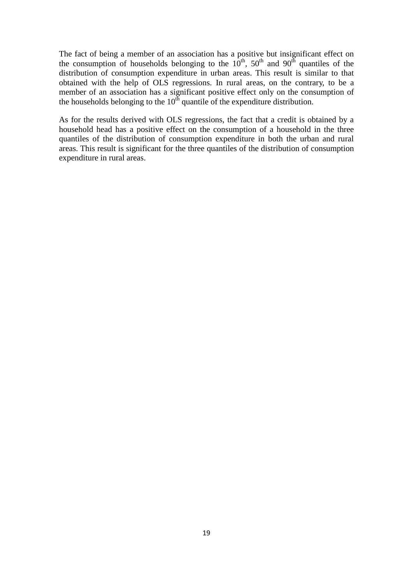The fact of being a member of an association has a positive but insignificant effect on the consumption of households belonging to the  $10^{th}$ ,  $50^{th}$  and  $90^{th}$  quantiles of the distribution of consumption expenditure in urban areas. This result is similar to that obtained with the help of OLS regressions. In rural areas, on the contrary, to be a member of an association has a significant positive effect only on the consumption of the households belonging to the  $10<sup>th</sup>$  quantile of the expenditure distribution.

As for the results derived with OLS regressions, the fact that a credit is obtained by a household head has a positive effect on the consumption of a household in the three quantiles of the distribution of consumption expenditure in both the urban and rural areas. This result is significant for the three quantiles of the distribution of consumption expenditure in rural areas.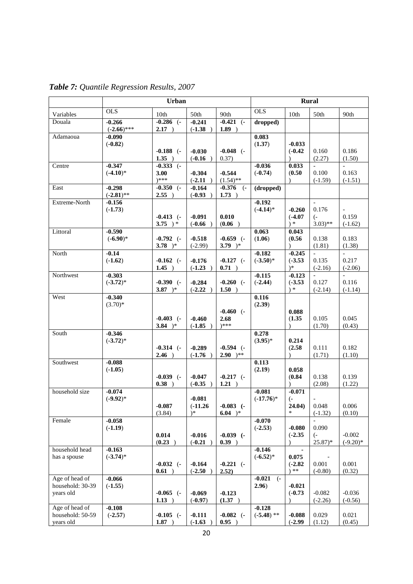|                               | <b>Urban</b>              |                          |                        |                           | <b>Rural</b>            |                            |                               |                          |
|-------------------------------|---------------------------|--------------------------|------------------------|---------------------------|-------------------------|----------------------------|-------------------------------|--------------------------|
| Variables                     | <b>OLS</b>                | 10th                     | 50th                   | 90th                      | $\overline{OLS}$        | 10th                       | 50th                          | 90th                     |
| Douala                        | $-0.266$                  | $-0.286$ (-              | $-0.241$               | $-0.421$ $(-$             | dropped)                |                            |                               |                          |
| Adamaoua                      | $(-2.66)$ ***<br>$-0.090$ | $2.17$ )                 | $(-1.38)$              | 1.89)                     | 0.083                   |                            |                               |                          |
|                               | $(-0.82)$                 |                          |                        |                           | (1.37)                  | $-0.033$                   |                               |                          |
|                               |                           | $-0.188$ (-              | $-0.030$               | $-0.048$ (-               |                         | $(-0.42)$                  | 0.160                         | 0.186                    |
|                               |                           | $1.35$ )                 | $(-0.16)$              | 0.37)                     |                         |                            | (2.27)                        | (1.50)                   |
| Centre                        | $-0.347$<br>$(-4.10)*$    | $-0.333$ $(-)$<br>3.00   | $-0.304$               | $-0.544$                  | $-0.036$<br>$(-0.74)$   | 0.033<br>(0.50)            | $\sim$<br>0.100               | $\overline{a}$<br>0.163  |
|                               |                           | $)****$                  | $(-2.11)$              | $(1.54)$ **               |                         |                            | $(-1.59)$                     | $(-1.51)$                |
| East                          | $-0.298$                  | $-0.350$ $(-$            | $-0.164$               | $-0.376$<br>$\left($ -    | (dropped)               |                            |                               |                          |
|                               | $(-2.81)$ **              | $2.55$ )                 | $(-0.93)$              | 1.73)                     |                         |                            |                               |                          |
| Extreme-North                 | $-0.156$<br>$(-1.73)$     |                          |                        |                           | $-0.192$<br>$(-4.14)$ * | $-0.260$                   | 0.176                         |                          |
|                               |                           | $-0.413$ $(-)$           | $-0.091$               | 0.010                     |                         | $(-4.07)$                  | $\overline{(-)}$              | 0.159                    |
|                               |                           | 3.75 $)*$                | $(-0.66)$              | (0.06)                    |                         | $*$                        | $(3.03)$ **                   | $(-1.62)$                |
| Littoral                      | $-0.590$                  |                          |                        |                           | 0.063                   | 0.043                      |                               |                          |
|                               | $(-6.90)$ *               | $-0.792$ $(-$            | $-0.518$               | $-0.659$ $(-$             | (1.06)                  | (0.56)                     | 0.138                         | 0.183                    |
| North                         | $-0.14$                   | 3.78 $)*$                | $(-2.99)$              | 3.79 $)*$                 | $-0.182$                | $-0.245$                   | (1.81)<br>$\blacksquare$      | (1.38)<br>$\blacksquare$ |
|                               | $(-1.62)$                 | $-0.162$ (-              | $-0.176$               | $-0.127$ (-               | $(-3.50)$ *             | $(-3.53)$                  | 0.135                         | 0.217                    |
|                               |                           | $1.45$ )                 | $(-1.23)$              | 0.71)                     |                         | $)$ *                      | $(-2.16)$                     | $(-2.06)$                |
| Northwest                     | $-0.303$                  |                          |                        |                           | $-0.115$                | $-0.123$                   |                               |                          |
|                               | $(-3.72)^*$               | $-0.390$ (-<br>3.87 $)*$ | $-0.284$<br>$(-2.22)$  | $-0.260$ $(-$<br>$1.50$ ) | $(-2.44)$               | $(-3.53)$<br>$\rightarrow$ | 0.127<br>$(-2.14)$            | 0.116<br>$(-1.14)$       |
| West                          | $-0.340$                  |                          |                        |                           | 0.116                   |                            |                               |                          |
|                               | $(3.70)*$                 |                          |                        |                           | (2.39)                  |                            |                               |                          |
|                               |                           |                          |                        | $-0.460$ $(-$             |                         | 0.088                      |                               |                          |
|                               |                           | $-0.403$ (-<br>3.84 $)*$ | $-0.460$<br>$(-1.85)$  | 2.68<br>)***              |                         | (1.35)                     | 0.105<br>(1.70)               | 0.045<br>(0.43)          |
| South                         | $-0.346$                  |                          |                        |                           | 0.278                   |                            |                               |                          |
|                               | $(-3.72)^*$               |                          |                        |                           | $(3.95)^*$              | 0.214                      |                               |                          |
|                               |                           | $-0.314$ (-              | $-0.289$               | $-0.594$ $(-$             |                         | (2.58)                     | 0.111                         | 0.182                    |
|                               |                           | $2.46$ )                 | $(-1.76)$              | $2.90$ )**                |                         | $\lambda$                  | (1.71)                        | (1.10)                   |
| Southwest                     | $-0.088$<br>$(-1.05)$     |                          |                        |                           | 0.113<br>(2.19)         | 0.058                      |                               |                          |
|                               |                           | $-0.039$ $(-$            | $-0.047$               | $-0.217$ (-               |                         | (0.84)                     | 0.138                         | 0.139                    |
|                               |                           | 0.38)                    | $(-0.35)$              | 1.21)                     |                         |                            | (2.08)                        | (1.22)                   |
| household size                | $-0.074$                  |                          |                        |                           | $-0.081$                | $-0.071$                   |                               |                          |
|                               | $(-9.92)^*$               | $-0.087$                 | $-0.081$<br>$(-11.26)$ | $-0.083$ $(-)$            | $(-17.76)^*$            | $\left($ -<br>24.04)       | 0.048                         | 0.006                    |
|                               |                           | (3.84)                   | $)$ *                  | $6.04$ )*                 |                         | *                          | $(-1.32)$                     | (0.10)                   |
| Female                        | $-0.058$                  |                          |                        |                           | $-0.070$                |                            |                               |                          |
|                               | $(-1.19)$                 |                          |                        |                           | $(-2.53)$               | $-0.080$                   | 0.090                         |                          |
|                               |                           | 0.014<br>(0.23)          | $-0.016$<br>$(-0.21)$  | $-0.039$ $(-$<br>0.39)    |                         | $(-2.35)$<br>$\lambda$     | $\left( -\right)$<br>$25.87*$ | $-0.002$<br>$(-9.20)$ *  |
| household head                | $-0.163$                  |                          |                        |                           | $-0.146$                |                            |                               |                          |
| has a spouse                  | $(-3.74)*$                |                          |                        |                           | $(-6.52)^*$             | 0.075                      |                               |                          |
|                               |                           | $-0.032$ (-              | $-0.164$               | $-0.221$ (-               |                         | $(-2.82)$                  | 0.001                         | 0.001                    |
| Age of head of                | $-0.066$                  | 0.61)                    | $(-2.50)$              | 2.52)                     | $-0.021$<br>$\left($ -  | $*$                        | $(-0.80)$                     | (0.32)                   |
| household: 30-39              | $(-1.55)$                 |                          |                        |                           | 2.96)                   | $-0.021$                   |                               |                          |
| years old                     |                           | $-0.065$ (-              | $-0.069$               | $-0.123$                  |                         | $(-0.73)$                  | $-0.082$                      | $-0.036$                 |
|                               |                           | 1.13)                    | $(-0.97)$              | (1.37)                    |                         |                            | $(-2.26)$                     | $(-0.56)$                |
| Age of head of                | $-0.108$                  |                          |                        |                           | $-0.128$                |                            |                               |                          |
| household: 50-59<br>years old | $(-2.57)$                 | $-0.105$ (-<br>1.87)     | $-0.111$<br>$(-1.63)$  | $-0.082$ (-<br>0.95)      | $(-5.48)$ **            | $-0.088$<br>$(-2.99)$      | 0.029<br>(1.12)               | 0.021<br>(0.45)          |
|                               |                           |                          |                        |                           |                         |                            |                               |                          |

*Table 7: Quantile Regression Results, 2007*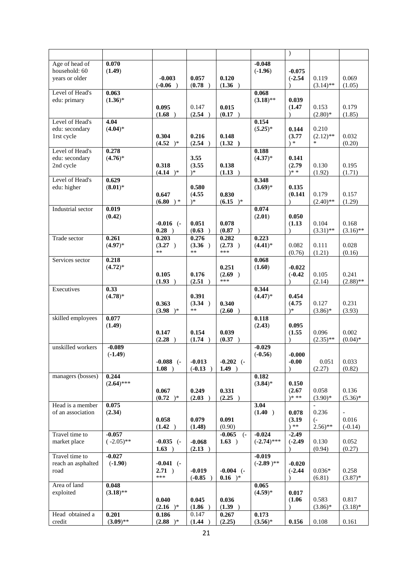|                                                   |                          |                         |                          |                      |                           | $\big)$                       |                       |                      |
|---------------------------------------------------|--------------------------|-------------------------|--------------------------|----------------------|---------------------------|-------------------------------|-----------------------|----------------------|
| Age of head of<br>household: 60<br>vears or older | 0.070<br>(1.49)          | $-0.003$                | 0.057                    | 0.120                | $-0.048$<br>$(-1.96)$     | $-0.075$<br>$(-2.54)$         | 0.119                 | 0.069                |
|                                                   |                          | $(-0.06)$               | (0.78)                   | (1.36)               |                           | $\lambda$                     | $(3.14)$ **           | (1.05)               |
| Level of Head's<br>edu: primary                   | 0.063<br>$(1.36)^*$      | 0.095                   | 0.147                    | 0.015                | 0.068<br>$(3.18)$ **      | 0.039<br>(1.47)               | 0.153                 | 0.179                |
|                                                   |                          | (1.68)                  | (2.54)                   | (0.17)               |                           | $\lambda$                     | $(2.80)$ *            | (1.85)               |
| Level of Head's<br>edu: secondary                 | 4.04<br>$(4.04)^*$       |                         |                          |                      | 0.154<br>$(5.25)^*$       | 0.144                         | 0.210                 |                      |
| 1rst cycle                                        |                          | 0.304<br>$(4.52)^*$     | 0.216<br>(2.54)          | 0.148<br>(1.32)      |                           | (3.77)<br>$\ast$              | $(2.12)$ **<br>$\ast$ | 0.032<br>(0.20)      |
| Level of Head's<br>edu: secondary                 | 0.278<br>$(4.76)^*$      |                         | 3.55                     |                      | 0.188<br>$(4.37)^*$       | 0.141                         |                       |                      |
| 2nd cycle                                         |                          | 0.318<br>(4.14)         | (3.55)<br>$)$ *          | 0.138<br>(1.13)      |                           | (2.79)<br>$)* *$              | 0.130<br>(1.92)       | 0.195<br>(1.71)      |
| Level of Head's<br>edu: higher                    | 0.629<br>$(8.01)^*$      |                         |                          |                      | 0.348<br>$(3.69)^*$       |                               |                       |                      |
|                                                   |                          | 0.647<br>$(6.80)$ *     | 0.580<br>(4.55)<br>$)$ * | 0.830<br>$(6.15)^*$  |                           | 0.135<br>(0.141)<br>$\lambda$ | 0.179<br>$(2.40)$ **  | 0.157<br>(1.29)      |
| Industrial sector                                 | 0.019                    |                         |                          |                      | 0.074                     |                               |                       |                      |
|                                                   | (0.42)                   | $-0.016$ $(-$<br>0.28)  | 0.051<br>(0.63)          | 0.078<br>(0.87)      | (2.01)                    | 0.050<br>(1.13)<br>$\lambda$  | 0.104<br>$(3.31)$ **  | 0.168<br>$(3.16)$ ** |
| Trade sector                                      | 0.261                    | 0.203                   | 0.276                    | 0.282                | 0.223                     |                               |                       |                      |
|                                                   | $(4.97)*$                | (3.27)<br>$**$          | (3.36)<br>**             | (2.73)<br>***        | $(4.41)^*$                | 0.082<br>(0.76)               | 0.111<br>(1.21)       | 0.028<br>(0.16)      |
| Services sector                                   | 0.218<br>$(4.72)^*$      |                         |                          | 0.251                | 0.068<br>(1.60)           | $-0.022$                      |                       |                      |
|                                                   |                          | 0.105<br>(1.93)         | 0.176<br>(2.51)          | (2.69)<br>***        |                           | $(-0.42)$                     | 0.105<br>(2.14)       | 0.241<br>$(2.88)$ ** |
| Executives                                        | 0.33                     |                         |                          |                      | 0.344                     |                               |                       |                      |
|                                                   | $(4.78)$ *               | 0.363<br>$(3.98)^*$     | 0.391<br>(3.34)<br>**    | 0.340<br>(2.60)      | $(4.47)^*$                | 0.454<br>(4.75)<br>$)*$       | 0.127<br>$(3.86)$ *   | 0.231<br>(3.93)      |
| skilled employees                                 | 0.077<br>(1.49)          |                         |                          |                      | 0.118<br>(2.43)           | 0.095                         |                       |                      |
|                                                   |                          | 0.147<br>(2.28)         | 0.154<br>(1.74)          | 0.039<br>(0.37)      |                           | (1.55)                        | 0.096<br>$(2.35)$ **  | 0.002<br>$(0.04)$ *  |
| unskilled workers                                 | $-0.089$<br>$(-1.49)$    |                         |                          |                      | $-0.029$<br>$(-0.56)$     | $-0.000$                      |                       |                      |
|                                                   |                          | $-0.088$ (-<br>$1.08$ ) | $-0.013$<br>$(-0.13)$    | $-0.202$ (-<br>1.49) |                           | $-0.00$                       | 0.051<br>(2.27)       | 0.033<br>(0.82)      |
| managers (bosses)                                 | 0.244<br>$(2.64)$ ***    |                         |                          |                      | 0.182<br>$(3.84)$ *       | 0.150                         |                       |                      |
|                                                   |                          | 0.067<br>$(0.72)^*$     | 0.249<br>(2.03)          | 0.331<br>(2.25)      |                           | (2.67)<br>$)* **$             | 0.058<br>$(3.90)*$    | 0.136<br>$(5.36)^*$  |
| Head is a member                                  | 0.075                    |                         |                          |                      | 3.04                      |                               | $\mathbb{L}$          |                      |
| of an association                                 | (2.34)                   | 0.058                   | 0.079                    | 0.091                | (1.40)                    | 0.078<br>(3.19)               | 0.236<br>$(-$         | 0.016                |
|                                                   |                          | (1.42)                  | (1.48)                   | (0.90)               |                           | $*$                           | $2.56$ <sup>**</sup>  | $(-0.14)$            |
| Travel time to<br>market place                    | $-0.057$<br>$(-2.05)$ ** | $-0.035$ (-<br>1.63)    | $-0.068$<br>(2.13)       | $-0.065$ (-<br>1.63) | $-0.024$<br>$(-2.74)$ *** | $-2.49$<br>$(-2.49)$          | 0.130<br>(0.94)       | 0.052<br>(0.27)      |
| Travel time to                                    | $-0.027$                 |                         |                          |                      | $-0.019$                  |                               |                       |                      |
| reach an asphalted<br>road                        | $(-1.90)$                | $-0.041$ (-<br>$2.71$ ) | $-0.019$                 | $-0.004$ (-          | $(-2.89)^{**}$            | $-0.020$<br>$(-2.44)$         | $0.036*$              | 0.258                |
| Area of land                                      | 0.048                    | ***                     | $(-0.85)$                | $0.16$ )*            | 0.065                     |                               | (6.81)                | $(3.87)*$            |
| exploited                                         | $(3.18)$ **              |                         |                          |                      | $(4.59)^*$                | 0.017                         |                       |                      |
|                                                   |                          | 0.040<br>(2.16)         | 0.045<br>(1.86)          | 0.036<br>(1.39)      |                           | (1.06)                        | 0.583<br>$(3.86)$ *   | 0.817<br>$(3.18)*$   |
| Head obtained a                                   | 0.201                    | 0.186                   | 0.147                    | 0.267                | 0.173                     |                               |                       |                      |
| credit                                            | $(3.09)$ **              | $(2.88)^*$              | (1.44)                   | (2.25)               | $(3.56)^*$                | 0.156                         | 0.108                 | 0.161                |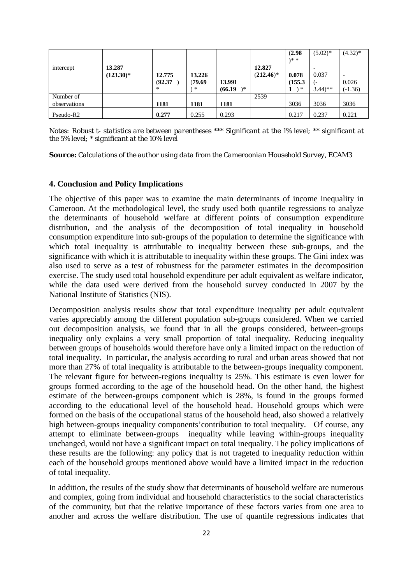|                           |                        |                        |                            |                         |                        | (2.98)<br>$)* *$      | $(5.02)^*$                           | $(4.32)^*$         |
|---------------------------|------------------------|------------------------|----------------------------|-------------------------|------------------------|-----------------------|--------------------------------------|--------------------|
| intercept                 | 13.287<br>$(123.30)^*$ | 12.775<br>(92.37)<br>∗ | 13.226<br>(79.69<br>$\ast$ | 13.991<br>\*<br>(66.19) | 12.827<br>$(212.46)^*$ | 0.078<br>(155.3)<br>∗ | 0.037<br>ı –<br>$3.44$ <sup>**</sup> | 0.026<br>$(-1.36)$ |
| Number of<br>observations |                        | 1181                   | 1181                       | 1181                    | 2539                   | 3036                  | 3036                                 | 3036               |
| Pseudo-R2                 |                        | 0.277                  | 0.255                      | 0.293                   |                        | 0.217                 | 0.237                                | 0.221              |

*Notes: Robust t- statistics are between parentheses \*\*\* Significant at the 1% level; \*\* significant at the 5% level; \* significant at the 10% level*

*Source: Calculations of the author using data from the Cameroonian Household Survey, ECAM3*

### **4. Conclusion and Policy Implications**

The objective of this paper was to examine the main determinants of income inequality in Cameroon. At the methodological level, the study used both quantile regressions to analyze the determinants of household welfare at different points of consumption expenditure distribution, and the analysis of the decomposition of total inequality in household consumption expenditure into sub-groups of the population to determine the significance with which total inequality is attributable to inequality between these sub-groups, and the significance with which it is attributable to inequality within these groups. The Gini index was also used to serve as a test of robustness for the parameter estimates in the decomposition exercise. The study used total household expenditure per adult equivalent as welfare indicator, while the data used were derived from the household survey conducted in 2007 by the National Institute of Statistics (NIS).

Decomposition analysis results show that total expenditure inequality per adult equivalent varies appreciably among the different population sub-groups considered. When we carried out decomposition analysis, we found that in all the groups considered, between-groups inequality only explains a very small proportion of total inequality. Reducing inequality between groups of households would therefore have only a limited impact on the reduction of total inequality. In particular, the analysis according to rural and urban areas showed that not more than 27% of total inequality is attributable to the between-groups inequality component. The relevant figure for between-regions inequality is 25%. This estimate is even lower for groups formed according to the age of the household head. On the other hand, the highest estimate of the between-groups component which is 28%, is found in the groups formed according to the educational level of the household head. Household groups which were formed on the basis of the occupational status of the household head, also showed a relatively high between-groups inequality components'contribution to total inequality. Of course, any attempt to eliminate between-groups inequality while leaving within-groups inequality unchanged, would not have a significant impact on total inequality. The policy implications of these results are the following: any policy that is not trageted to inequality reduction within each of the household groups mentioned above would have a limited impact in the reduction of total inequality.

In addition, the results of the study show that determinants of household welfare are numerous and complex, going from individual and household characteristics to the social characteristics of the community, but that the relative importance of these factors varies from one area to another and across the welfare distribution. The use of quantile regressions indicates that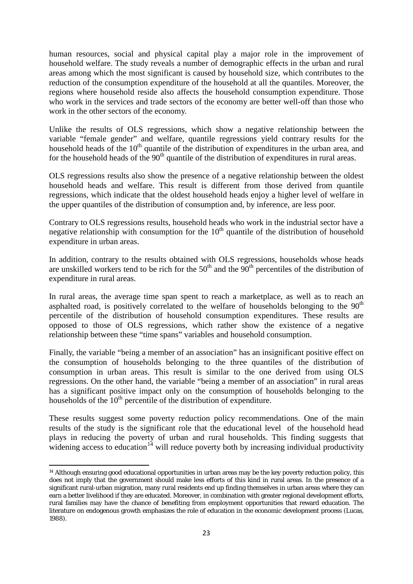human resources, social and physical capital play a major role in the improvement of household welfare. The study reveals a number of demographic effects in the urban and rural areas among which the most significant is caused by household size, which contributes to the reduction of the consumption expenditure of the household at all the quantiles. Moreover, the regions where household reside also affects the household consumption expenditure. Those who work in the services and trade sectors of the economy are better well-off than those who work in the other sectors of the economy.

Unlike the results of OLS regressions, which show a negative relationship between the variable "female gender" and welfare, quantile regressions yield contrary results for the household heads of the  $10<sup>th</sup>$  quantile of the distribution of expenditures in the urban area, and for the household heads of the  $90<sup>th</sup>$  quantile of the distribution of expenditures in rural areas.

OLS regressions results also show the presence of a negative relationship between the oldest household heads and welfare. This result is different from those derived from quantile regressions, which indicate that the oldest household heads enjoy a higher level of welfare in the upper quantiles of the distribution of consumption and, by inference, are less poor.

Contrary to OLS regressions results, household heads who work in the industrial sector have a negative relationship with consumption for the  $10<sup>th</sup>$  quantile of the distribution of household expenditure in urban areas.

In addition, contrary to the results obtained with OLS regressions, households whose heads are unskilled workers tend to be rich for the  $50<sup>th</sup>$  and the  $90<sup>th</sup>$  percentiles of the distribution of expenditure in rural areas.

In rural areas, the average time span spent to reach a marketplace, as well as to reach an asphalted road, is positively correlated to the welfare of households belonging to the  $90<sup>th</sup>$ percentile of the distribution of household consumption expenditures. These results are opposed to those of OLS regressions, which rather show the existence of a negative relationship between these "time spans" variables and household consumption.

Finally, the variable "being a member of an association" has an insignificant positive effect on the consumption of households belonging to the three quantiles of the distribution of consumption in urban areas. This result is similar to the one derived from using OLS regressions. On the other hand, the variable "being a member of an association" in rural areas has a significant positive impact only on the consumption of households belonging to the households of the  $10<sup>th</sup>$  percentile of the distribution of expenditure.

These results suggest some poverty reduction policy recommendations. One of the main results of the study is the significant role that the educational level of the household head plays in reducing the poverty of urban and rural households. This finding suggests that widening access to education<sup>[14](#page-22-0)</sup> will reduce poverty both by increasing individual productivity

 $\overline{a}$ 

<span id="page-22-0"></span><sup>&</sup>lt;sup>14</sup> Although ensuring good educational opportunities in urban areas may be the key poverty reduction policy, this does not imply that the government should make less efforts of this kind in rural areas. In the presence of a significant rural-urban migration, many rural residents end up finding themselves in urban areas where they can earn a better livelihood if they are educated. Moreover, in combination with greater regional development efforts, rural families may have the chance of benefiting from employment opportunities that reward education. The literature on endogenous growth emphasizes the role of education in the economic development process (Lucas, 1988).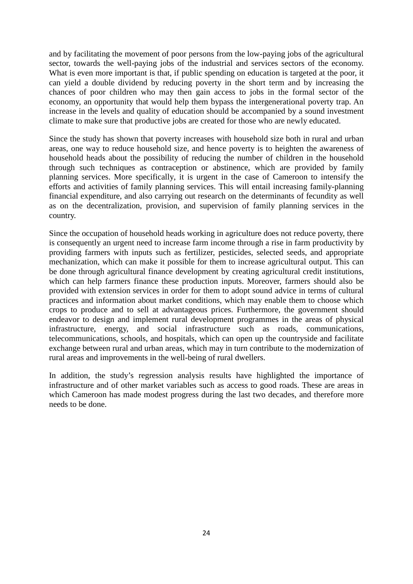and by facilitating the movement of poor persons from the low-paying jobs of the agricultural sector, towards the well-paying jobs of the industrial and services sectors of the economy. What is even more important is that, if public spending on education is targeted at the poor, it can yield a double dividend by reducing poverty in the short term and by increasing the chances of poor children who may then gain access to jobs in the formal sector of the economy, an opportunity that would help them bypass the intergenerational poverty trap. An increase in the levels and quality of education should be accompanied by a sound investment climate to make sure that productive jobs are created for those who are newly educated.

Since the study has shown that poverty increases with household size both in rural and urban areas, one way to reduce household size, and hence poverty is to heighten the awareness of household heads about the possibility of reducing the number of children in the household through such techniques as contraception or abstinence, which are provided by family planning services. More specifically, it is urgent in the case of Cameroon to intensify the efforts and activities of family planning services. This will entail increasing family-planning financial expenditure, and also carrying out research on the determinants of fecundity as well as on the decentralization, provision, and supervision of family planning services in the country.

Since the occupation of household heads working in agriculture does not reduce poverty, there is consequently an urgent need to increase farm income through a rise in farm productivity by providing farmers with inputs such as fertilizer, pesticides, selected seeds, and appropriate mechanization, which can make it possible for them to increase agricultural output. This can be done through agricultural finance development by creating agricultural credit institutions, which can help farmers finance these production inputs. Moreover, farmers should also be provided with extension services in order for them to adopt sound advice in terms of cultural practices and information about market conditions, which may enable them to choose which crops to produce and to sell at advantageous prices. Furthermore, the government should endeavor to design and implement rural development programmes in the areas of physical infrastructure, energy, and social infrastructure such as roads, communications, telecommunications, schools, and hospitals, which can open up the countryside and facilitate exchange between rural and urban areas, which may in turn contribute to the modernization of rural areas and improvements in the well-being of rural dwellers.

In addition, the study's regression analysis results have highlighted the importance of infrastructure and of other market variables such as access to good roads. These are areas in which Cameroon has made modest progress during the last two decades, and therefore more needs to be done.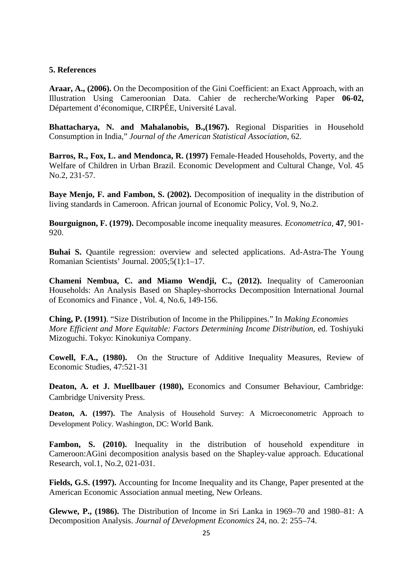## **5. References**

**Araar, A., (2006).** On the Decomposition of the Gini Coefficient: an Exact Approach, with an Illustration Using Cameroonian Data. Cahier de recherche/Working Paper **06-02,**  Département d'économique, CIRPÉE, Université Laval.

**Bhattacharya, N. and Mahalanobis, B.,(1967).** Regional Disparities in Household Consumption in India," *Journal of the American Statistical Association*, 62.

**Barros, R., Fox, L. and Mendonca, R. (1997)** Female‐Headed Households, Poverty, and the Welfare of Children in Urban Brazil. Economic Development and Cultural Change, Vol. 45 No.2, 231‐57.

**Baye Menjo, F. and Fambon, S. (2002).** Decomposition of inequality in the distribution of living standards in Cameroon. African journal of Economic Policy, Vol. 9, No.2.

**Bourguignon, F. (1979).** Decomposable income inequality measures. *Econometrica*, **47**, 901- 920.

**Buhai S.** Quantile regression: overview and selected applications. Ad-Astra-The Young Romanian Scientists' Journal. 2005;5(1):1–17.

**Chameni Nembua, C. and Miamo Wendji, C., (2012).** Inequality of Cameroonian Households: An Analysis Based on Shapley-shorrocks Decomposition International Journal of Economics and Finance , Vol. 4, No.6, 149-156.

**Ching, P. (1991)**. "Size Distribution of Income in the Philippines." In *Making Economies More Efficient and More Equitable: Factors Determining Income Distribution*, ed. Toshiyuki Mizoguchi. Tokyo: Kinokuniya Company.

**Cowell, F.A., (1980).** On the Structure of Additive Inequality Measures, Review of Economic Studies, 47:521-31

**Deaton, A. et J. Muellbauer (1980),** Economics and Consumer Behaviour, Cambridge: Cambridge University Press.

**Deaton, A. (1997).** The Analysis of Household Survey: A Microeconometric Approach to Development Policy. Washington, DC: World Bank.

**Fambon, S. (2010).** Inequality in the distribution of household expenditure in Cameroon:AGini decomposition analysis based on the Shapley-value approach. Educational Research, vol.1, No.2, 021-031.

**Fields, G.S. (1997).** Accounting for Income Inequality and its Change, Paper presented at the American Economic Association annual meeting, New Orleans.

**Glewwe, P., (1986).** The Distribution of Income in Sri Lanka in 1969–70 and 1980–81: A Decomposition Analysis. *Journal of Development Economics* 24, no. 2: 255–74.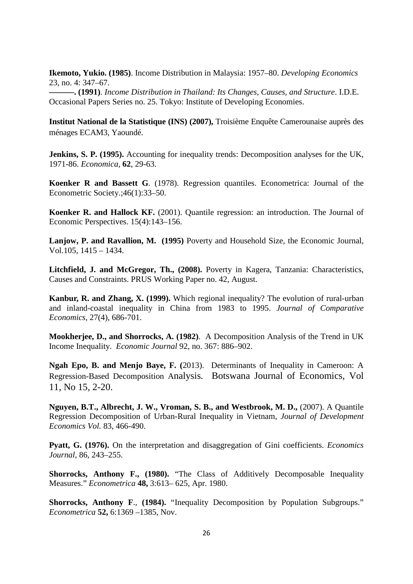**Ikemoto, Yukio. (1985)**. Income Distribution in Malaysia: 1957–80. *Developing Economics* 23, no. 4: 347–67.

**––––––. (1991)**. *Income Distribution in Thailand: Its Changes, Causes, and Structure*. I.D.E. Occasional Papers Series no. 25. Tokyo: Institute of Developing Economies.

**Institut National de la Statistique (INS) (2007),** Troisième Enquête Camerounaise auprès des ménages ECAM3, Yaoundé.

**Jenkins, S. P. (1995).** Accounting for inequality trends: Decomposition analyses for the UK, 1971-86. *Economica*, **62**, 29-63.

**Koenker R and Bassett G**. (1978). Regression quantiles. Econometrica: Journal of the Econometric Society.;46(1):33–50.

**Koenker R. and Hallock KF.** (2001). Quantile regression: an introduction. The Journal of Economic Perspectives. 15(4):143–156.

**Lanjow, P. and Ravallion, M. (1995)** Poverty and Household Size, the Economic Journal, Vol.105, 1415 – 1434.

**Litchfield, J. and McGregor, Th., (2008).** Poverty in Kagera, Tanzania: Characteristics, Causes and Constraints. PRUS Working Paper no. 42, August.

**Kanbur, R. and Zhang, X. (1999).** Which regional inequality? The evolution of rural-urban and inland-coastal inequality in China from 1983 to 1995. *Journal of Comparative Economics*, 27(4), 686-701.

**Mookherjee, D., and Shorrocks, A. (1982)**. A Decomposition Analysis of the Trend in UK Income Inequality. *Economic Journal* 92, no. 367: 886–902.

**Ngah Epo, B. and Menjo Baye, F. (**2013). Determinants of Inequality in Cameroon: A Regression-Based Decomposition Analysis*.* Botswana Journal of Economics, Vol 11, No 15, 2-20.

**Nguyen, B.T., Albrecht, J. W., Vroman, S. B., and Westbrook, M. D.,** (2007). A Quantile Regression Decomposition of Urban-Rural Inequality in Vietnam, *Journal of Development Economics Vol.* 83, 466-490.

**Pyatt, G. (1976).** On the interpretation and disaggregation of Gini coefficients. *Economics Journal*, 86, 243–255.

**Shorrocks, Anthony F., (1980).** "The Class of Additively Decomposable Inequality Measures." *Econometrica* **48,** 3:613– 625, Apr. 1980.

**Shorrocks, Anthony F**., **(1984).** "Inequality Decomposition by Population Subgroups." *Econometrica* **52,** 6:1369 –1385, Nov.